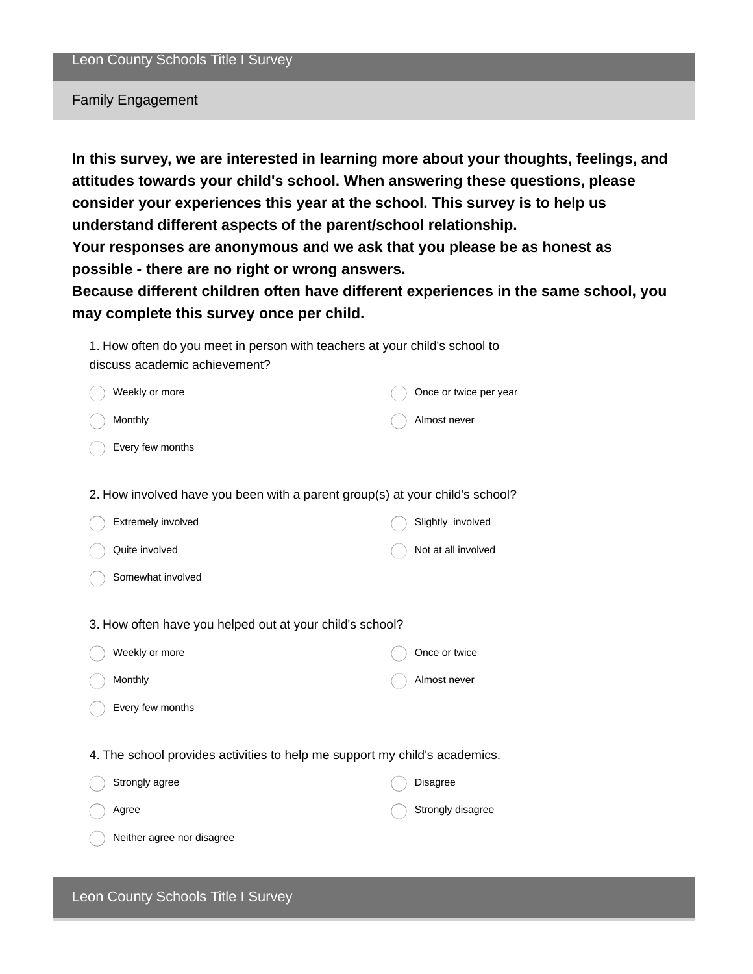#### Family Engagement

**In this survey, we are interested in learning more about your thoughts, feelings, and attitudes towards your child's school. When answering these questions, please consider your experiences this year at the school. This survey is to help us understand different aspects of the parent/school relationship. Your responses are anonymous and we ask that you please be as honest as possible - there are no right or wrong answers.**

**Because different children often have different experiences in the same school, you may complete this survey once per child.**

| 1. How often do you meet in person with teachers at your child's school to |
|----------------------------------------------------------------------------|
| discuss academic achievement?                                              |

| Weekly or more                                                               | Once or twice per year |
|------------------------------------------------------------------------------|------------------------|
| Monthly                                                                      | Almost never           |
| Every few months                                                             |                        |
|                                                                              |                        |
| 2. How involved have you been with a parent group(s) at your child's school? |                        |
| Extremely involved                                                           | Slightly involved      |
| Quite involved                                                               | Not at all involved    |
| Somewhat involved                                                            |                        |
|                                                                              |                        |
| 3. How often have you helped out at your child's school?                     |                        |
| Weekly or more                                                               | Once or twice          |
| Monthly                                                                      | Almost never           |
| Every few months                                                             |                        |

4. The school provides activities to help me support my child's academics.

| Strongly agree             | Disagree          |
|----------------------------|-------------------|
| Agree                      | Strongly disagree |
| Neither agree nor disagree |                   |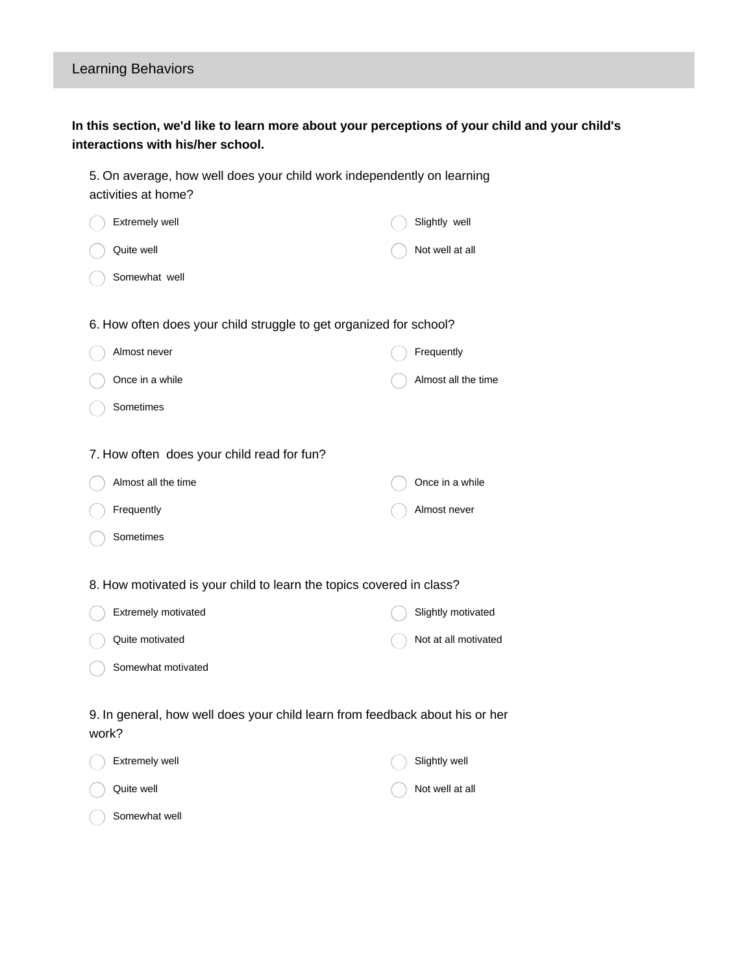# Learning Behaviors

### **In this section, we'd like to learn more about your perceptions of your child and your child's interactions with his/her school.**

| 5. On average, how well does your child work independently on learning<br>activities at home? |                      |  |  |  |
|-----------------------------------------------------------------------------------------------|----------------------|--|--|--|
| Extremely well                                                                                | Slightly well        |  |  |  |
| Quite well                                                                                    | Not well at all      |  |  |  |
| Somewhat well                                                                                 |                      |  |  |  |
| 6. How often does your child struggle to get organized for school?                            |                      |  |  |  |
| Almost never                                                                                  | Frequently           |  |  |  |
| Once in a while                                                                               | Almost all the time  |  |  |  |
| Sometimes                                                                                     |                      |  |  |  |
|                                                                                               |                      |  |  |  |
| 7. How often does your child read for fun?                                                    |                      |  |  |  |
| Almost all the time                                                                           | Once in a while      |  |  |  |
| Frequently                                                                                    | Almost never         |  |  |  |
| Sometimes                                                                                     |                      |  |  |  |
| 8. How motivated is your child to learn the topics covered in class?                          |                      |  |  |  |
| Extremely motivated                                                                           | Slightly motivated   |  |  |  |
| Quite motivated                                                                               | Not at all motivated |  |  |  |
| Somewhat motivated                                                                            |                      |  |  |  |
| 9. In general, how well does your child learn from feedback about his or her<br>work?         |                      |  |  |  |
| Extremely well                                                                                | Slightly well        |  |  |  |
| Quite well                                                                                    | Not well at all      |  |  |  |

Somewhat well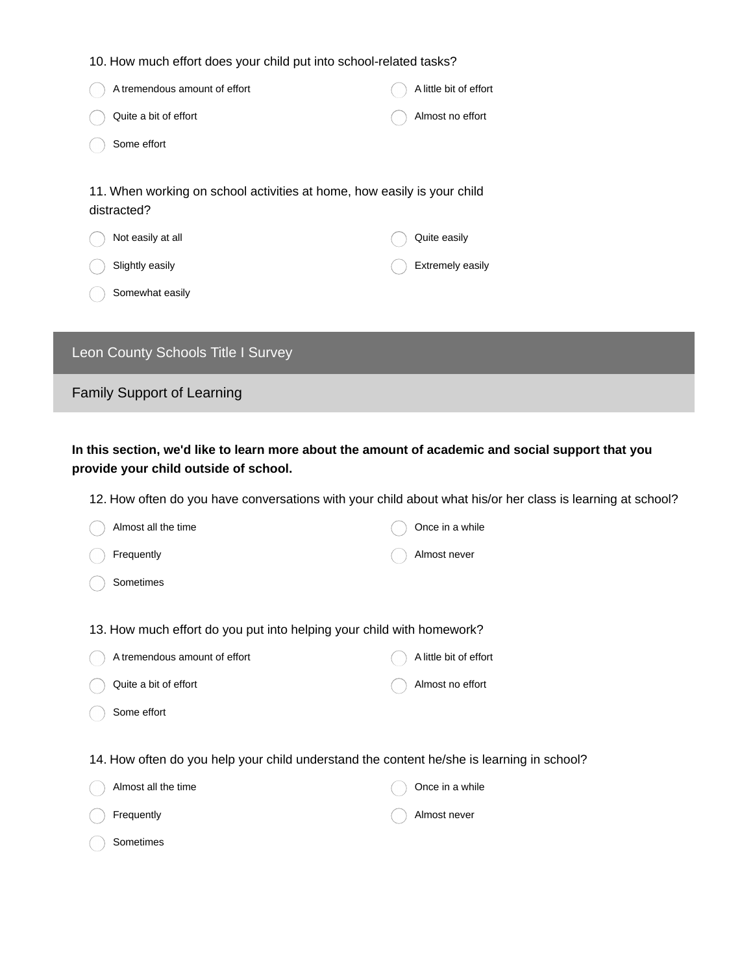| 10. How much effort does your child put into school-related tasks?                                                                                |                                  |  |  |
|---------------------------------------------------------------------------------------------------------------------------------------------------|----------------------------------|--|--|
| A tremendous amount of effort                                                                                                                     | A little bit of effort           |  |  |
| Quite a bit of effort                                                                                                                             | Almost no effort                 |  |  |
| Some effort                                                                                                                                       |                                  |  |  |
| 11. When working on school activities at home, how easily is your child<br>distracted?<br>Not easily at all<br>Slightly easily<br>Somewhat easily | Quite easily<br>Extremely easily |  |  |
|                                                                                                                                                   |                                  |  |  |

# Leon County Schools Title I Survey

Family Support of Learning

**In this section, we'd like to learn more about the amount of academic and social support that you provide your child outside of school.**

12. How often do you have conversations with your child about what his/or her class is learning at school?

| Almost all the time                                                                       | Once in a while        |  |  |  |
|-------------------------------------------------------------------------------------------|------------------------|--|--|--|
| Frequently                                                                                | Almost never           |  |  |  |
| Sometimes                                                                                 |                        |  |  |  |
|                                                                                           |                        |  |  |  |
| 13. How much effort do you put into helping your child with homework?                     |                        |  |  |  |
| A tremendous amount of effort                                                             | A little bit of effort |  |  |  |
| Quite a bit of effort                                                                     | Almost no effort       |  |  |  |
| Some effort                                                                               |                        |  |  |  |
|                                                                                           |                        |  |  |  |
| 14. How often do you help your child understand the content he/she is learning in school? |                        |  |  |  |
| Almost all the time                                                                       | Once in a while        |  |  |  |
| Frequently                                                                                | Almost never           |  |  |  |
| Sometimes                                                                                 |                        |  |  |  |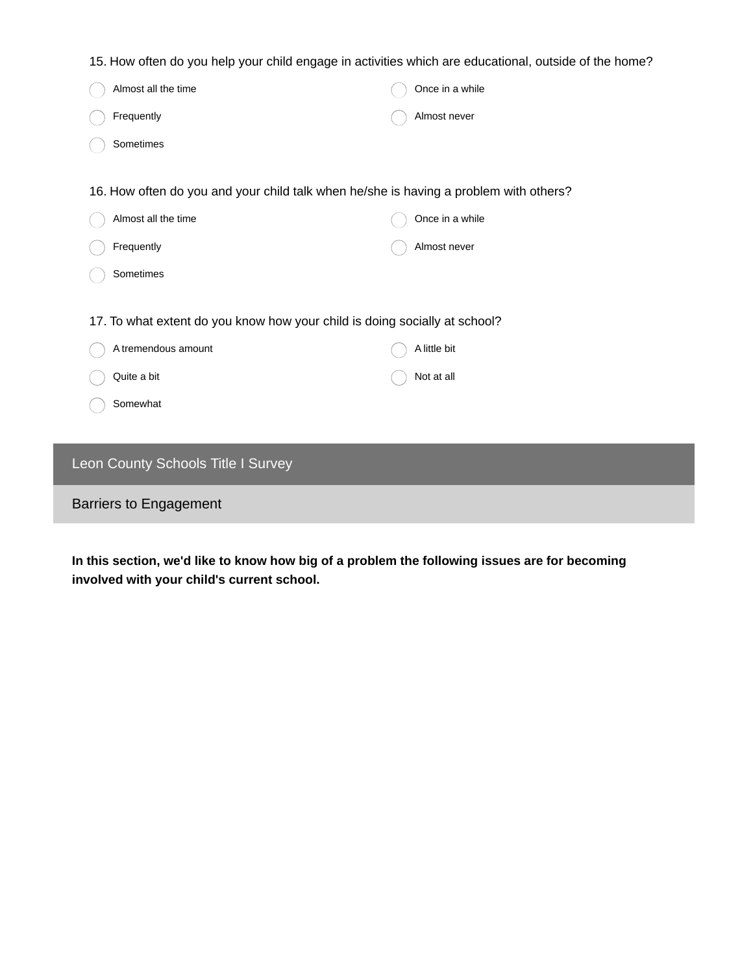15. How often do you help your child engage in activities which are educational, outside of the home?

|                                                                                       | Almost all the time |  | Once in a while |
|---------------------------------------------------------------------------------------|---------------------|--|-----------------|
|                                                                                       | Frequently          |  | Almost never    |
|                                                                                       | Sometimes           |  |                 |
|                                                                                       |                     |  |                 |
| 16. How often do you and your child talk when he/she is having a problem with others? |                     |  |                 |
|                                                                                       | Almost all the time |  | Once in a while |
|                                                                                       | Frequently          |  | Almost never    |
|                                                                                       | Sometimes           |  |                 |
|                                                                                       |                     |  |                 |
| 17. To what extent do you know how your child is doing socially at school?            |                     |  |                 |
|                                                                                       | A tremendous amount |  | A little bit    |
|                                                                                       | Quite a bit         |  | Not at all      |
|                                                                                       | Somewhat            |  |                 |

## Leon County Schools Title I Survey

#### Barriers to Engagement

**In this section, we'd like to know how big of a problem the following issues are for becoming involved with your child's current school.**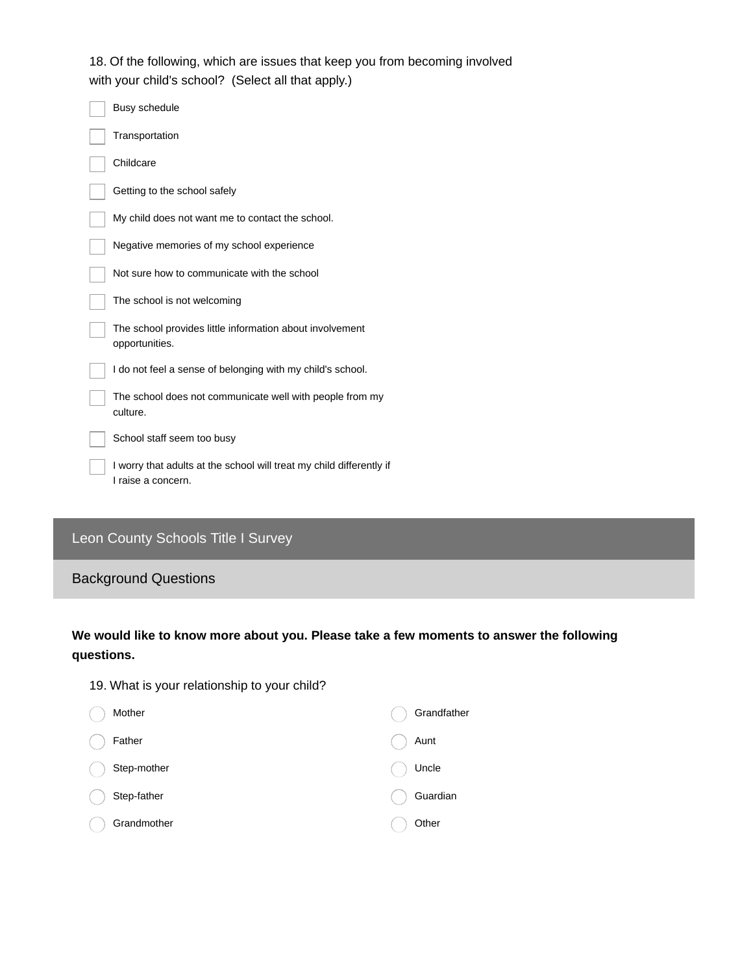18. Of the following, which are issues that keep you from becoming involved with your child's school? (Select all that apply.)

| Busy schedule                                                                              |
|--------------------------------------------------------------------------------------------|
| Transportation                                                                             |
| Childcare                                                                                  |
| Getting to the school safely                                                               |
| My child does not want me to contact the school.                                           |
| Negative memories of my school experience                                                  |
| Not sure how to communicate with the school                                                |
| The school is not welcoming                                                                |
| The school provides little information about involvement<br>opportunities.                 |
| I do not feel a sense of belonging with my child's school.                                 |
| The school does not communicate well with people from my<br>culture.                       |
| School staff seem too busy                                                                 |
| I worry that adults at the school will treat my child differently if<br>I raise a concern. |

## Leon County Schools Title I Survey

#### Background Questions

### **We would like to know more about you. Please take a few moments to answer the following questions.**

| 19. What is your relationship to your child? |             |
|----------------------------------------------|-------------|
| Mother                                       | Grandfather |
| Father                                       | Aunt        |
| Step-mother                                  | Uncle       |
| Step-father                                  | Guardian    |
| Grandmother                                  | Other       |